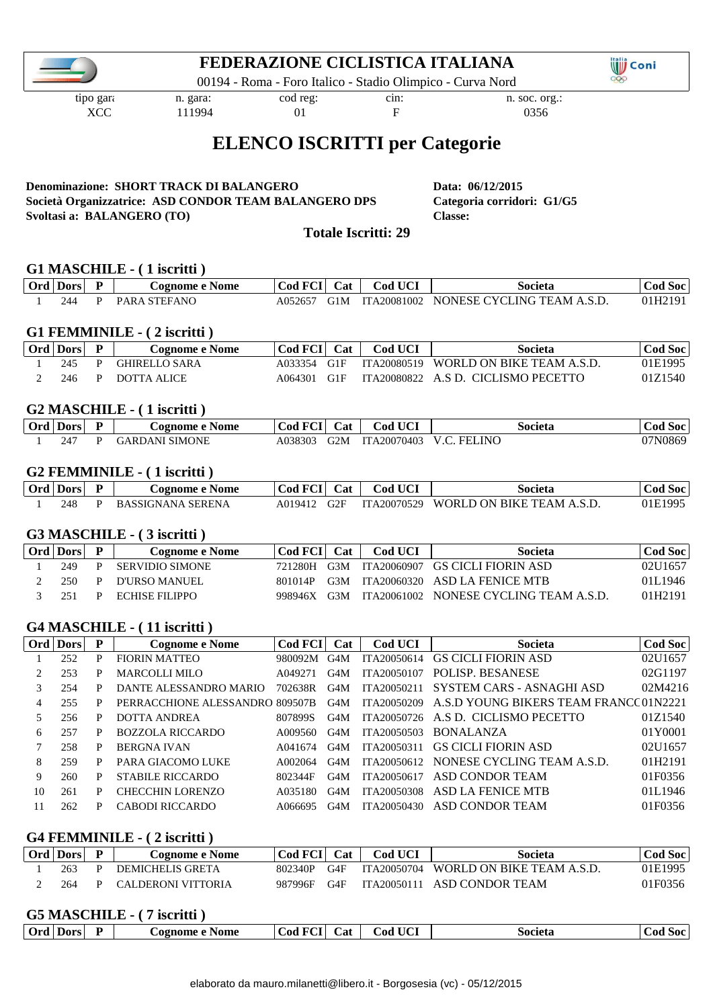### **FEDERAZIONE CICLISTICA ITALIANA**

00194 - Roma - Foro Italico - Stadio Olimpico - Curva Nord

tipo gara: n. gara: cod reg: cin: n. soc. org.:

**OD** Coni  $000$ 

XCC 111994 01 F 0356

# **ELENCO ISCRITTI per Categorie**

#### **Denominazione: SHORT TRACK DI BALANGERO Data: 06/12/2015 Società Organizzatrice: ASD CONDOR TEAM BALANGERO DPS Categoria corridori: G1/G5 Svoltasi a: BALANGERO (TO) Classe:**

**Totale Iscritti: 29**

#### **G1 MASCHILE - ( 1 iscritti )**

| Ora | Dors | $\mathbf{r}$ | e Nome<br><b>Cognome</b> | $\sim$<br>.00 | ∠at | <b>I TIOT</b><br>$\sim$<br>∠od | societ.                                              | 50C<br>.oc |
|-----|------|--------------|--------------------------|---------------|-----|--------------------------------|------------------------------------------------------|------------|
|     |      |              | ANC                      | $A05^\circ$   |     | A20081002<br>$T_{\rm A}$       | $\neg$ CF<br>NONF <sup>*</sup><br>S.D<br>'ΔNΛ<br>ING |            |

#### **G1 FEMMINILE - ( 2 iscritti )**

| Ord Dors | <b>Cognome e Nome</b> | Cod FCI Cat |       | <b>Cod UCI</b> | Societa                               | Cod Soc |
|----------|-----------------------|-------------|-------|----------------|---------------------------------------|---------|
| 245      | <b>GHIRELLO SARA</b>  | A033354     | - G1F |                | ITA20080519 WORLD ON BIKE TEAM A.S.D. | 01E1995 |
| 246      | DOTTA ALICE           | A064301     | G1F   |                | ITA20080822 A.S D. CICLISMO PECETTO   | 01Z1540 |

#### **G2 MASCHILE - ( 1 iscritti )**

| Ord | - Jor                 | $\overline{\phantom{a}}$<br>- | Nome<br>.02P<br>.                              | $\sim$<br>. .or                    | ∠at | I TIAT<br>ĴОC         | ociet.                     | 50C   |
|-----|-----------------------|-------------------------------|------------------------------------------------|------------------------------------|-----|-----------------------|----------------------------|-------|
|     | 24 <sup>o</sup><br>24 |                               | <b>AONF</b><br>$\mathbf{r}$<br><b>IN/I</b><br> | $\Omega$<br>$A0^{\circ}$<br>۱۰ ۱۱۰ | M   | $140^\circ$<br>$\sim$ | INC<br>$\overline{$<br>. . | 'U86. |

#### **G2 FEMMINILE - ( 1 iscritti )**

| Ord Dors | $\mathbf{D}$ | <b>Cognome e Nome</b>    | Cod FCI | <b>Cat</b> | <b>Cod UCI</b> | Societa                   | Soc<br><b>Cod</b> |
|----------|--------------|--------------------------|---------|------------|----------------|---------------------------|-------------------|
| 248      |              | <b>BASSIGNANA SERENA</b> | A019412 |            | ITA20070529    | WORLD ON BIKE TEAM A.S.D. | 01E1995           |

#### **G3 MASCHILE - ( 3 iscritti )**

| Ord   Dors |    | Cognome e Nome         | Cod FCI Cat |     | Cod UCI | Societa                                | Cod Soc |
|------------|----|------------------------|-------------|-----|---------|----------------------------------------|---------|
| 249        |    | <b>SERVIDIO SIMONE</b> | 721280H     | G3M |         | ITA20060907 GS CICLI FIORIN ASD        | 02U1657 |
| 250        | P. | D'URSO MANUEL          | 801014P     | G3M |         | ITA20060320 ASD LA FENICE MTB          | 01L1946 |
| 251        |    | ECHISE FILIPPO         | 998946X     | G3M |         | ITA20061002 NONESE CYCLING TEAM A.S.D. | 01H2191 |

#### **G4 MASCHILE - ( 11 iscritti )**

|    | Ord Dors | P | Cognome e Nome                  | Cod FCI | Cat | <b>Cod UCI</b> | Societa                                | Cod Soc |
|----|----------|---|---------------------------------|---------|-----|----------------|----------------------------------------|---------|
|    | 252      | P | <b>FIORIN MATTEO</b>            | 980092M | G4M | ITA20050614    | <b>GS CICLI FIORIN ASD</b>             | 02U1657 |
| 2  | 253      | P | MARCOLLI MILO                   | A049271 | G4M | ITA20050107    | <b>POLISP. BESANESE</b>                | 02G1197 |
| 3  | 254      | P | DANTE ALESSANDRO MARIO          | 702638R | G4M | ITA20050211    | SYSTEM CARS - ASNAGHI ASD              | 02M4216 |
| 4  | 255      | P | PERRACCHIONE ALESSANDRO 809507B |         | G4M | ITA20050209    | A.S.D YOUNG BIKERS TEAM FRANCC 01N2221 |         |
| 5  | 256      | P | DOTTA ANDREA                    | 8078995 | G4M | ITA20050726    | A.S.D. CICLISMO PECETTO                | 01Z1540 |
| 6  | 257      | P | BOZZOLA RICCARDO                | A009560 | G4M | ITA20050503    | <b>BONALANZA</b>                       | 01Y0001 |
|    | 258      | P | <b>BERGNA IVAN</b>              | A041674 | G4M | ITA20050311    | <b>GS CICLI FIORIN ASD</b>             | 02U1657 |
| 8  | 259      | P | PARA GIACOMO LUKE               | A002064 | G4M | ITA20050612    | NONESE CYCLING TEAM A.S.D.             | 01H2191 |
| 9  | 260      | P | <b>STABILE RICCARDO</b>         | 802344F | G4M | ITA20050617    | ASD CONDOR TEAM                        | 01F0356 |
| 10 | 261      | P | <b>CHECCHIN LORENZO</b>         | A035180 | G4M | ITA20050308    | ASD LA FENICE MTB                      | 01L1946 |
|    | 262      | P | CABODI RICCARDO                 | A066695 | G4M | ITA20050430    | ASD CONDOR TEAM                        | 01F0356 |

#### **G4 FEMMINILE - ( 2 iscritti )**

| Ord   Dors | <b>Cognome e Nome</b> | Cod FCI   Cat |     | Cod UCI     | Societa                   | C <b>od Soc</b> |
|------------|-----------------------|---------------|-----|-------------|---------------------------|-----------------|
| 263        | DEMICHELIS GRETA      | 802340P       | G4F | ITA20050704 | WORLD ON BIKE TEAM A S.D. | 01E1995         |
| 264        | CALDERONI VITTORIA    | 987996F       | G4F | ITA20050111 | ASD CONDOR TEAM           | 01F0356         |

#### **G5 MASCHILE - ( 7 iscritti )**

| $-$<br>Ord<br>Dors | √ome<br>. ognome | .<br>∪at<br>. .00<br><b>12.</b> | <b>CONTRACTOR</b><br>∠od | Societa | .<br>. |
|--------------------|------------------|---------------------------------|--------------------------|---------|--------|